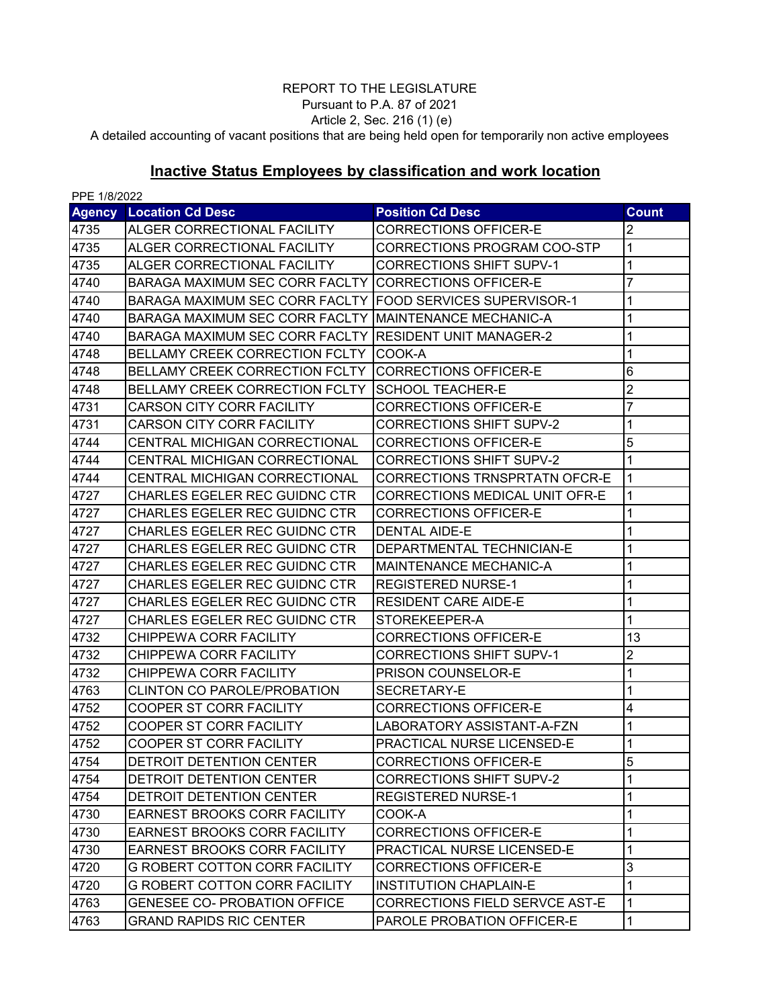## REPORT TO THE LEGISLATURE

Pursuant to P.A. 87 of 2021 Article 2, Sec. 216 (1) (e)

A detailed accounting of vacant positions that are being held open for temporarily non active employees

## **Inactive Status Employees by classification and work location**

| PPE 1/8/2022 |                                                           |                                       |                |  |  |  |
|--------------|-----------------------------------------------------------|---------------------------------------|----------------|--|--|--|
|              | <b>Agency Location Cd Desc</b>                            | <b>Position Cd Desc</b>               | <b>Count</b>   |  |  |  |
| 4735         | ALGER CORRECTIONAL FACILITY                               | <b>CORRECTIONS OFFICER-E</b>          | 2              |  |  |  |
| 4735         | ALGER CORRECTIONAL FACILITY                               | CORRECTIONS PROGRAM COO-STP           | 1              |  |  |  |
| 4735         | <b>ALGER CORRECTIONAL FACILITY</b>                        | <b>CORRECTIONS SHIFT SUPV-1</b>       | 1              |  |  |  |
| 4740         | BARAGA MAXIMUM SEC CORR FACLTY CORRECTIONS OFFICER-E      |                                       | 7              |  |  |  |
| 4740         | BARAGA MAXIMUM SEC CORR FACLTY FOOD SERVICES SUPERVISOR-1 |                                       | 1              |  |  |  |
| 4740         | <b>BARAGA MAXIMUM SEC CORR FACLTY</b>                     | IMAINTENANCE MECHANIC-A               | 1              |  |  |  |
| 4740         | BARAGA MAXIMUM SEC CORR FACLTY RESIDENT UNIT MANAGER-2    |                                       | 1              |  |  |  |
| 4748         | BELLAMY CREEK CORRECTION FCLTY                            | COOK-A                                | 1              |  |  |  |
| 4748         | <b>BELLAMY CREEK CORRECTION FCLTY</b>                     | <b>CORRECTIONS OFFICER-E</b>          | 6              |  |  |  |
| 4748         | <b>BELLAMY CREEK CORRECTION FCLTY</b>                     | <b>SCHOOL TEACHER-E</b>               | $\overline{2}$ |  |  |  |
| 4731         | <b>CARSON CITY CORR FACILITY</b>                          | <b>CORRECTIONS OFFICER-E</b>          | 7              |  |  |  |
| 4731         | <b>CARSON CITY CORR FACILITY</b>                          | <b>CORRECTIONS SHIFT SUPV-2</b>       | 1              |  |  |  |
| 4744         | <b>CENTRAL MICHIGAN CORRECTIONAL</b>                      | <b>CORRECTIONS OFFICER-E</b>          | 5              |  |  |  |
| 4744         | <b>CENTRAL MICHIGAN CORRECTIONAL</b>                      | <b>CORRECTIONS SHIFT SUPV-2</b>       | 1              |  |  |  |
| 4744         | <b>CENTRAL MICHIGAN CORRECTIONAL</b>                      | CORRECTIONS TRNSPRTATN OFCR-E         | 1              |  |  |  |
| 4727         | <b>CHARLES EGELER REC GUIDNC CTR</b>                      | CORRECTIONS MEDICAL UNIT OFR-E        | 1              |  |  |  |
| 4727         | <b>CHARLES EGELER REC GUIDNC CTR</b>                      | <b>CORRECTIONS OFFICER-E</b>          | 1              |  |  |  |
| 4727         | <b>CHARLES EGELER REC GUIDNC CTR</b>                      | <b>DENTAL AIDE-E</b>                  | 1              |  |  |  |
| 4727         | <b>CHARLES EGELER REC GUIDNC CTR</b>                      | DEPARTMENTAL TECHNICIAN-E             | 1              |  |  |  |
| 4727         | <b>CHARLES EGELER REC GUIDNC CTR</b>                      | <b>MAINTENANCE MECHANIC-A</b>         | 1              |  |  |  |
| 4727         | <b>CHARLES EGELER REC GUIDNC CTR</b>                      | <b>REGISTERED NURSE-1</b>             | 1              |  |  |  |
| 4727         | <b>CHARLES EGELER REC GUIDNC CTR</b>                      | <b>RESIDENT CARE AIDE-E</b>           | 1              |  |  |  |
| 4727         | <b>CHARLES EGELER REC GUIDNC CTR</b>                      | STOREKEEPER-A                         | 1              |  |  |  |
| 4732         | CHIPPEWA CORR FACILITY                                    | <b>CORRECTIONS OFFICER-E</b>          | 13             |  |  |  |
| 4732         | CHIPPEWA CORR FACILITY                                    | <b>CORRECTIONS SHIFT SUPV-1</b>       | 2              |  |  |  |
| 4732         | CHIPPEWA CORR FACILITY                                    | PRISON COUNSELOR-E                    | 1              |  |  |  |
| 4763         | <b>CLINTON CO PAROLE/PROBATION</b>                        | <b>SECRETARY-E</b>                    | 1              |  |  |  |
| 4752         | <b>COOPER ST CORR FACILITY</b>                            | <b>CORRECTIONS OFFICER-E</b>          | 4              |  |  |  |
| 4752         | <b>COOPER ST CORR FACILITY</b>                            | LABORATORY ASSISTANT-A-FZN            | 1              |  |  |  |
| 4752         | <b>COOPER ST CORR FACILITY</b>                            | <b>PRACTICAL NURSE LICENSED-E</b>     | 1              |  |  |  |
| 4754         | <b>DETROIT DETENTION CENTER</b>                           | <b>CORRECTIONS OFFICER-E</b>          | 5              |  |  |  |
| 4754         | DETROIT DETENTION CENTER                                  | <b>CORRECTIONS SHIFT SUPV-2</b>       | 1              |  |  |  |
| 4754         | DETROIT DETENTION CENTER                                  | <b>REGISTERED NURSE-1</b>             | 1              |  |  |  |
| 4730         | EARNEST BROOKS CORR FACILITY                              | COOK-A                                | 1              |  |  |  |
| 4730         | EARNEST BROOKS CORR FACILITY                              | CORRECTIONS OFFICER-E                 | 1              |  |  |  |
| 4730         | EARNEST BROOKS CORR FACILITY                              | PRACTICAL NURSE LICENSED-E            | 1              |  |  |  |
| 4720         | <b>G ROBERT COTTON CORR FACILITY</b>                      | <b>CORRECTIONS OFFICER-E</b>          | 3              |  |  |  |
| 4720         | <b>G ROBERT COTTON CORR FACILITY</b>                      | <b>INSTITUTION CHAPLAIN-E</b>         | 1              |  |  |  |
| 4763         | <b>GENESEE CO- PROBATION OFFICE</b>                       | <b>CORRECTIONS FIELD SERVCE AST-E</b> | 1              |  |  |  |
| 4763         | <b>GRAND RAPIDS RIC CENTER</b>                            | PAROLE PROBATION OFFICER-E            | 1              |  |  |  |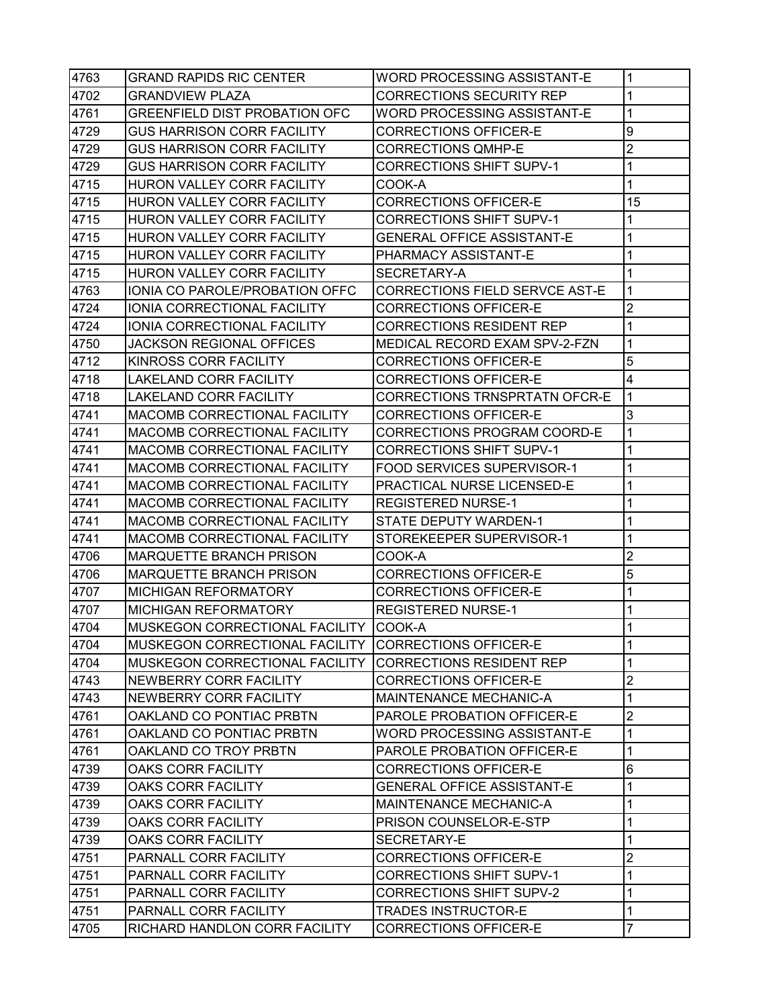| 4763 | <b>GRAND RAPIDS RIC CENTER</b>      | <b>WORD PROCESSING ASSISTANT-E</b>   | 1              |
|------|-------------------------------------|--------------------------------------|----------------|
| 4702 | <b>GRANDVIEW PLAZA</b>              | <b>CORRECTIONS SECURITY REP</b>      | 1              |
| 4761 | GREENFIELD DIST PROBATION OFC       | <b>WORD PROCESSING ASSISTANT-E</b>   | 1              |
| 4729 | <b>GUS HARRISON CORR FACILITY</b>   | CORRECTIONS OFFICER-E                | 9              |
| 4729 | <b>GUS HARRISON CORR FACILITY</b>   | <b>CORRECTIONS QMHP-E</b>            | $\overline{2}$ |
| 4729 | <b>GUS HARRISON CORR FACILITY</b>   | <b>CORRECTIONS SHIFT SUPV-1</b>      | 1              |
| 4715 | HURON VALLEY CORR FACILITY          | COOK-A                               | 1              |
| 4715 | <b>HURON VALLEY CORR FACILITY</b>   | <b>CORRECTIONS OFFICER-E</b>         | 15             |
| 4715 | HURON VALLEY CORR FACILITY          | <b>CORRECTIONS SHIFT SUPV-1</b>      | 1              |
| 4715 | HURON VALLEY CORR FACILITY          | <b>GENERAL OFFICE ASSISTANT-E</b>    | 1              |
| 4715 | HURON VALLEY CORR FACILITY          | PHARMACY ASSISTANT-E                 | 1              |
| 4715 | HURON VALLEY CORR FACILITY          | SECRETARY-A                          | 1              |
| 4763 | IONIA CO PAROLE/PROBATION OFFC      | CORRECTIONS FIELD SERVCE AST-E       | 1              |
| 4724 | IONIA CORRECTIONAL FACILITY         | <b>CORRECTIONS OFFICER-E</b>         | 2              |
| 4724 | IONIA CORRECTIONAL FACILITY         | <b>CORRECTIONS RESIDENT REP</b>      | 1              |
| 4750 | <b>JACKSON REGIONAL OFFICES</b>     | MEDICAL RECORD EXAM SPV-2-FZN        | 1              |
| 4712 | <b>KINROSS CORR FACILITY</b>        | <b>CORRECTIONS OFFICER-E</b>         | 5              |
| 4718 | <b>LAKELAND CORR FACILITY</b>       | <b>CORRECTIONS OFFICER-E</b>         | 4              |
| 4718 | <b>LAKELAND CORR FACILITY</b>       | <b>CORRECTIONS TRNSPRTATN OFCR-E</b> | 1              |
| 4741 | MACOMB CORRECTIONAL FACILITY        | CORRECTIONS OFFICER-E                | 3              |
| 4741 | <b>MACOMB CORRECTIONAL FACILITY</b> | CORRECTIONS PROGRAM COORD-E          | 1              |
| 4741 | MACOMB CORRECTIONAL FACILITY        | <b>CORRECTIONS SHIFT SUPV-1</b>      | 1              |
| 4741 | MACOMB CORRECTIONAL FACILITY        | FOOD SERVICES SUPERVISOR-1           | 1              |
| 4741 | MACOMB CORRECTIONAL FACILITY        | PRACTICAL NURSE LICENSED-E           | 1              |
| 4741 | MACOMB CORRECTIONAL FACILITY        | <b>REGISTERED NURSE-1</b>            | 1              |
| 4741 | MACOMB CORRECTIONAL FACILITY        | STATE DEPUTY WARDEN-1                | 1              |
| 4741 | MACOMB CORRECTIONAL FACILITY        | STOREKEEPER SUPERVISOR-1             | 1              |
| 4706 | <b>MARQUETTE BRANCH PRISON</b>      | COOK-A                               | 2              |
| 4706 | <b>MARQUETTE BRANCH PRISON</b>      | CORRECTIONS OFFICER-E                | 5              |
| 4707 | <b>MICHIGAN REFORMATORY</b>         | <b>CORRECTIONS OFFICER-E</b>         | 1              |
| 4707 | <b>MICHIGAN REFORMATORY</b>         | <b>REGISTERED NURSE-1</b>            | 1              |
| 4704 | MUSKEGON CORRECTIONAL FACILITY      | COOK-A                               | 1              |
| 4704 | MUSKEGON CORRECTIONAL FACILITY      | <b>CORRECTIONS OFFICER-E</b>         | 1              |
| 4704 | MUSKEGON CORRECTIONAL FACILITY      | <b>CORRECTIONS RESIDENT REP</b>      | 1              |
| 4743 | NEWBERRY CORR FACILITY              | <b>CORRECTIONS OFFICER-E</b>         | $\overline{2}$ |
| 4743 | NEWBERRY CORR FACILITY              | <b>MAINTENANCE MECHANIC-A</b>        | 1              |
| 4761 | OAKLAND CO PONTIAC PRBTN            | PAROLE PROBATION OFFICER-E           | $\overline{2}$ |
| 4761 | OAKLAND CO PONTIAC PRBTN            | <b>WORD PROCESSING ASSISTANT-E</b>   | 1              |
| 4761 | OAKLAND CO TROY PRBTN               | <b>PAROLE PROBATION OFFICER-E</b>    | 1              |
| 4739 | OAKS CORR FACILITY                  | <b>CORRECTIONS OFFICER-E</b>         | 6              |
| 4739 | <b>OAKS CORR FACILITY</b>           | <b>GENERAL OFFICE ASSISTANT-E</b>    | 1              |
| 4739 | <b>OAKS CORR FACILITY</b>           | <b>MAINTENANCE MECHANIC-A</b>        | 1              |
| 4739 | OAKS CORR FACILITY                  | PRISON COUNSELOR-E-STP               | 1              |
| 4739 | OAKS CORR FACILITY                  | SECRETARY-E                          | 1              |
| 4751 | PARNALL CORR FACILITY               | CORRECTIONS OFFICER-E                | 2              |
| 4751 | PARNALL CORR FACILITY               | <b>CORRECTIONS SHIFT SUPV-1</b>      | 1              |
| 4751 | PARNALL CORR FACILITY               | <b>CORRECTIONS SHIFT SUPV-2</b>      | 1              |
| 4751 | PARNALL CORR FACILITY               | <b>TRADES INSTRUCTOR-E</b>           | 1              |
| 4705 | RICHARD HANDLON CORR FACILITY       | <b>CORRECTIONS OFFICER-E</b>         | $\overline{7}$ |